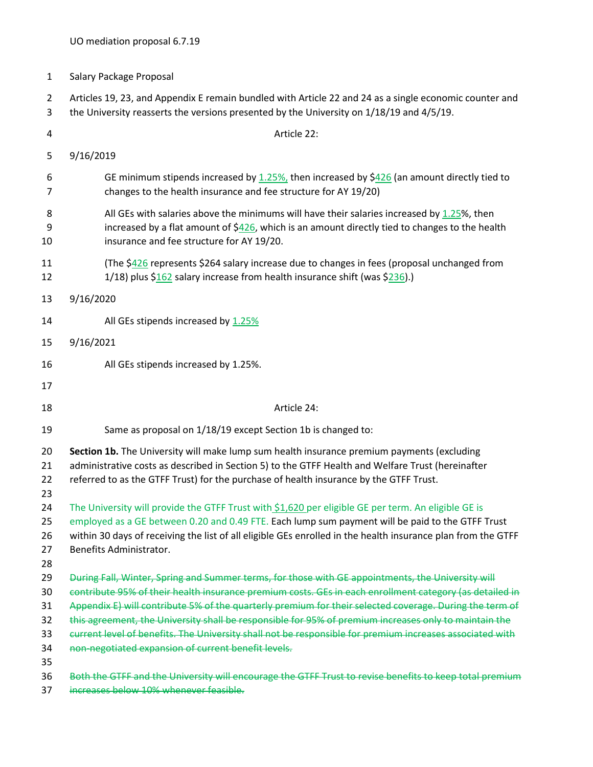1 Salary Package Proposal

2 Articles 19, 23, and Appendix E remain bundled with Article 22 and 24 as a single economic counter and 3 the University reasserts the versions presented by the University on 1/18/19 and 4/5/19.

| 4                                            | Article 22:                                                                                                                                                                                                                                                                                                                                                                                                                                                                                                                                                                                         |
|----------------------------------------------|-----------------------------------------------------------------------------------------------------------------------------------------------------------------------------------------------------------------------------------------------------------------------------------------------------------------------------------------------------------------------------------------------------------------------------------------------------------------------------------------------------------------------------------------------------------------------------------------------------|
| 5                                            | 9/16/2019                                                                                                                                                                                                                                                                                                                                                                                                                                                                                                                                                                                           |
| 6<br>7                                       | GE minimum stipends increased by $1.25\%$ , then increased by \$426 (an amount directly tied to<br>changes to the health insurance and fee structure for AY 19/20)                                                                                                                                                                                                                                                                                                                                                                                                                                  |
| 8<br>9<br>10                                 | All GEs with salaries above the minimums will have their salaries increased by 1.25%, then<br>increased by a flat amount of $$426$ , which is an amount directly tied to changes to the health<br>insurance and fee structure for AY 19/20.                                                                                                                                                                                                                                                                                                                                                         |
| 11<br>12                                     | (The \$426 represents \$264 salary increase due to changes in fees (proposal unchanged from<br>1/18) plus $$162$ salary increase from health insurance shift (was $$236$ ).)                                                                                                                                                                                                                                                                                                                                                                                                                        |
| 13                                           | 9/16/2020                                                                                                                                                                                                                                                                                                                                                                                                                                                                                                                                                                                           |
| 14                                           | All GEs stipends increased by 1.25%                                                                                                                                                                                                                                                                                                                                                                                                                                                                                                                                                                 |
| 15                                           | 9/16/2021                                                                                                                                                                                                                                                                                                                                                                                                                                                                                                                                                                                           |
| 16                                           | All GEs stipends increased by 1.25%.                                                                                                                                                                                                                                                                                                                                                                                                                                                                                                                                                                |
| 17                                           |                                                                                                                                                                                                                                                                                                                                                                                                                                                                                                                                                                                                     |
| 18                                           | Article 24:                                                                                                                                                                                                                                                                                                                                                                                                                                                                                                                                                                                         |
| 19                                           | Same as proposal on 1/18/19 except Section 1b is changed to:                                                                                                                                                                                                                                                                                                                                                                                                                                                                                                                                        |
| 20<br>21<br>22<br>23                         | Section 1b. The University will make lump sum health insurance premium payments (excluding<br>administrative costs as described in Section 5) to the GTFF Health and Welfare Trust (hereinafter<br>referred to as the GTFF Trust) for the purchase of health insurance by the GTFF Trust.                                                                                                                                                                                                                                                                                                           |
| 24<br>25<br>26<br>27                         | The University will provide the GTFF Trust with \$1,620 per eligible GE per term. An eligible GE is<br>employed as a GE between 0.20 and 0.49 FTE. Each lump sum payment will be paid to the GTFF Trust<br>within 30 days of receiving the list of all eligible GEs enrolled in the health insurance plan from the GTFF<br>Benefits Administrator.                                                                                                                                                                                                                                                  |
| 28<br>29<br>30<br>31<br>32<br>33<br>34<br>35 | During Fall, Winter, Spring and Summer terms, for those with GE appointments, the University will<br>contribute 95% of their health insurance premium costs. GEs in each enrollment category (as detailed in<br>Appendix E) will contribute 5% of the quarterly premium for their selected coverage. During the term of<br>this agreement, the University shall be responsible for 95% of premium increases only to maintain the<br>current level of benefits. The University shall not be responsible for premium increases associated with<br>non-negotiated expansion of current benefit levels. |
| 36<br>37                                     | Both the GTFF and the University will encourage the GTFF Trust to revise benefits to keep total premium<br>increases below 10% whenever feasible.                                                                                                                                                                                                                                                                                                                                                                                                                                                   |